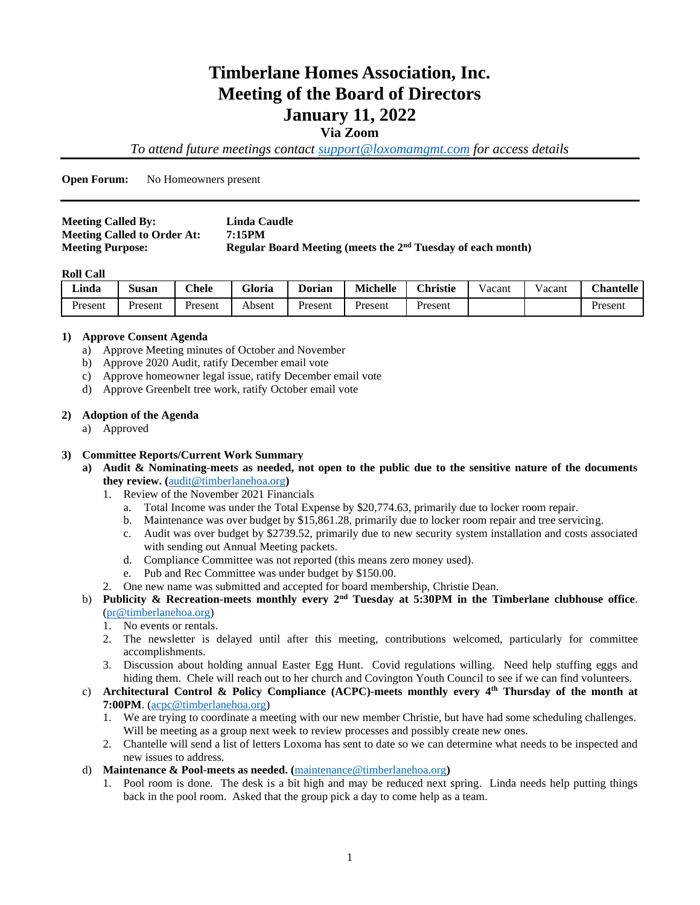# **Timberlane Homes Association, Inc. Meeting of the Board of Directors January 11, 2022**

#### **Via Zoom**

*To attend future meetings contact [support@loxomamgmt.com](mailto:support@loxomamgmt.com) for access details*

**Open Forum:** No Homeowners present

| <b>Meeting Called By:</b>          | Linda Caudle                                                            |
|------------------------------------|-------------------------------------------------------------------------|
| <b>Meeting Called to Order At:</b> | 7:15PM                                                                  |
| <b>Meeting Purpose:</b>            | Regular Board Meeting (meets the 2 <sup>nd</sup> Tuesday of each month) |

#### **Roll Call**

| <b>Linda</b> | $\sim$<br>Susan | $C$ hele | <b>Gloria</b> | <b>Dorian</b> | <b>Michelle</b> | <b>Christie</b> | vacant | √acant | <b>Chantelle</b> |
|--------------|-----------------|----------|---------------|---------------|-----------------|-----------------|--------|--------|------------------|
| Present      | Present         | Present  | Absent        | Present       | Present         | Present         |        |        | Present          |

#### **1) Approve Consent Agenda**

- a) Approve Meeting minutes of October and November
- b) Approve 2020 Audit, ratify December email vote
- c) Approve homeowner legal issue, ratify December email vote
- d) Approve Greenbelt tree work, ratify October email vote

#### **2) Adoption of the Agenda**

a) Approved

#### **3) Committee Reports/Current Work Summary**

- **a) Audit & Nominating**-**meets as needed, not open to the public due to the sensitive nature of the documents they review. (**[audit@timberlanehoa.org](mailto:audit@timberlanehoa.org)**)** 
	- 1. Review of the November 2021 Financials
		- a. Total Income was under the Total Expense by \$20,774.63, primarily due to locker room repair.
		- b. Maintenance was over budget by \$15,861.28, primarily due to locker room repair and tree servicing.
		- c. Audit was over budget by \$2739.52, primarily due to new security system installation and costs associated with sending out Annual Meeting packets.
		- d. Compliance Committee was not reported (this means zero money used).
		- e. Pub and Rec Committee was under budget by \$150.00.
	- 2. One new name was submitted and accepted for board membership, Christie Dean.

#### b) **Publicity & Recreation-meets monthly every 2nd Tuesday at 5:30PM in the Timberlane clubhouse office**. [\(pr@timberlanehoa.org\)](mailto:pr@timberlanehoa.org)

- 1. No events or rentals.
- 2. The newsletter is delayed until after this meeting, contributions welcomed, particularly for committee accomplishments.
- 3. Discussion about holding annual Easter Egg Hunt. Covid regulations willing. Need help stuffing eggs and hiding them. Chele will reach out to her church and Covington Youth Council to see if we can find volunteers.
- c) **Architectural Control & Policy Compliance (ACPC)-meets monthly every 4 th Thursday of the month at 7:00PM**. [\(acpc@timberlanehoa.org\)](mailto:acpc@timberlanehoa.org)
	- 1. We are trying to coordinate a meeting with our new member Christie, but have had some scheduling challenges. Will be meeting as a group next week to review processes and possibly create new ones.
	- 2. Chantelle will send a list of letters Loxoma has sent to date so we can determine what needs to be inspected and new issues to address.
- d) **Maintenance & Pool**-**meets as needed. (**[maintenance@timberlanehoa.org](mailto:maintenance@timberlanehoa.org)**)** 
	- 1. Pool room is done. The desk is a bit high and may be reduced next spring. Linda needs help putting things back in the pool room. Asked that the group pick a day to come help as a team.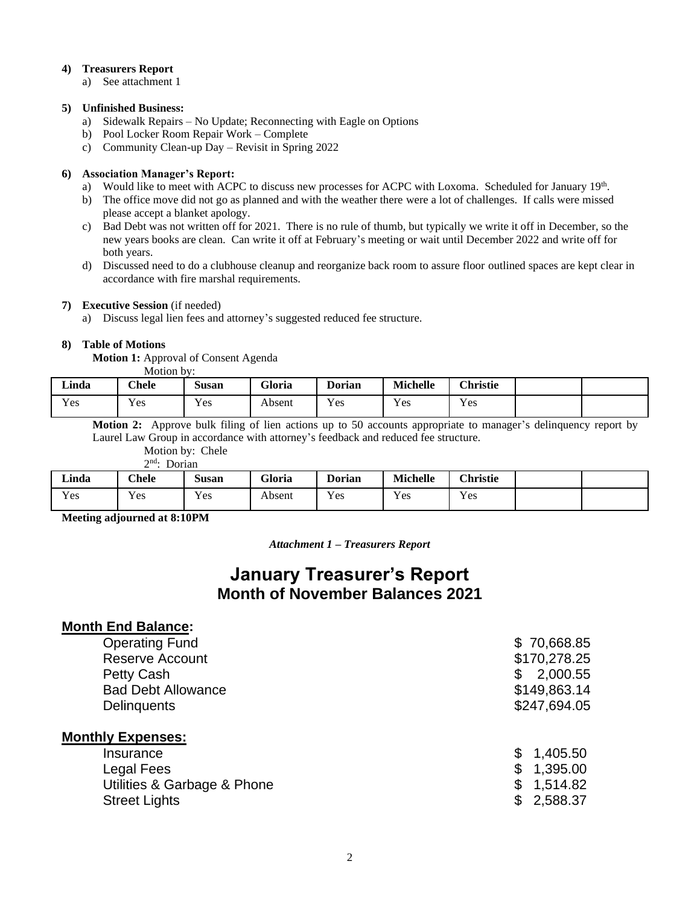#### **4) Treasurers Report**

a) See attachment 1

#### **5) Unfinished Business:**

- a) Sidewalk Repairs No Update; Reconnecting with Eagle on Options
- b) Pool Locker Room Repair Work Complete
- c) Community Clean-up Day Revisit in Spring 2022

#### **6) Association Manager's Report:**

- a) Would like to meet with ACPC to discuss new processes for ACPC with Loxoma. Scheduled for January 19<sup>th</sup>.
- b) The office move did not go as planned and with the weather there were a lot of challenges. If calls were missed please accept a blanket apology.
- c) Bad Debt was not written off for 2021. There is no rule of thumb, but typically we write it off in December, so the new years books are clean. Can write it off at February's meeting or wait until December 2022 and write off for both years.
- d) Discussed need to do a clubhouse cleanup and reorganize back room to assure floor outlined spaces are kept clear in accordance with fire marshal requirements.

#### **7) Executive Session** (if needed)

a) Discuss legal lien fees and attorney's suggested reduced fee structure.

#### **8) Table of Motions**

**Motion 1:** Approval of Consent Agenda  $M$ otion by:

|                  | TATOUOTI DA. |                  |        |               |                 |                 |  |
|------------------|--------------|------------------|--------|---------------|-----------------|-----------------|--|
| Linda            | <b>Chele</b> | Susan            | Gloria | <b>Dorian</b> | <b>Michelle</b> | <b>Christie</b> |  |
| <b>T</b><br>Y es | Yes          | <b>T</b><br>Y es | Absent | Yes           | Yes             | Yes             |  |

**Motion 2:** Approve bulk filing of lien actions up to 50 accounts appropriate to manager's delinquency report by Laurel Law Group in accordance with attorney's feedback and reduced fee structure.

Motion by: Chele

| $\Delta$ nd. |        |
|--------------|--------|
|              | Dorian |

| Linda | <b>Chele</b>         | Susan | Gloria | <b>Dorian</b> | <b>Michelle</b>      | <b>Christie</b> |  |
|-------|----------------------|-------|--------|---------------|----------------------|-----------------|--|
| Yes   | $\mathbf{v}$<br>Y es | Yes   | Absent | Yes           | $\mathbf{v}$<br>Y es | Yes             |  |

**Meeting adjourned at 8:10PM**

*Attachment 1 – Treasurers Report*

## **January Treasurer's Report Month of November Balances 2021**

### **Month End Balance:**

| <b>Operating Fund</b>       | \$70,668.85    |
|-----------------------------|----------------|
| <b>Reserve Account</b>      | \$170,278.25   |
| Petty Cash                  | 2,000.55<br>\$ |
| <b>Bad Debt Allowance</b>   | \$149,863.14   |
| <b>Delinguents</b>          | \$247,694.05   |
| <b>Monthly Expenses:</b>    |                |
| Insurance                   | 1,405.50<br>\$ |
| Legal Fees                  | 1,395.00<br>\$ |
| Utilities & Garbage & Phone | 1,514.82<br>\$ |
| <b>Street Lights</b>        | 2,588.37<br>\$ |